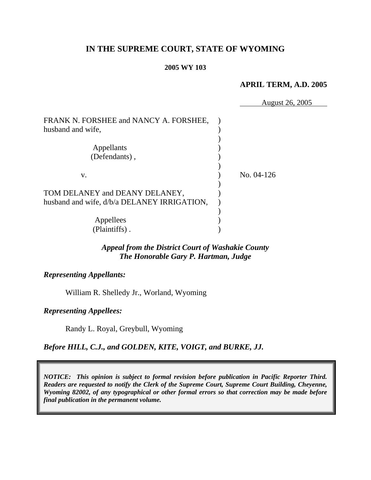## **IN THE SUPREME COURT, STATE OF WYOMING**

#### **2005 WY 103**

#### **APRIL TERM, A.D. 2005**

|                                                                               | August 26, 2005 |
|-------------------------------------------------------------------------------|-----------------|
| FRANK N. FORSHEE and NANCY A. FORSHEE,<br>husband and wife,                   |                 |
| Appellants<br>(Defendants),                                                   |                 |
| V.                                                                            | No. 04-126      |
| TOM DELANEY and DEANY DELANEY,<br>husband and wife, d/b/a DELANEY IRRIGATION, |                 |
| Appellees<br>(Plaintiffs).                                                    |                 |

## *Appeal from the District Court of Washakie County The Honorable Gary P. Hartman, Judge*

*Representing Appellants:* 

William R. Shelledy Jr., Worland, Wyoming

*Representing Appellees:* 

Randy L. Royal, Greybull, Wyoming

*Before HILL, C.J., and GOLDEN, KITE, VOIGT, and BURKE, JJ.* 

*NOTICE: This opinion is subject to formal revision before publication in Pacific Reporter Third. Readers are requested to notify the Clerk of the Supreme Court, Supreme Court Building, Cheyenne, Wyoming 82002, of any typographical or other formal errors so that correction may be made before final publication in the permanent volume.*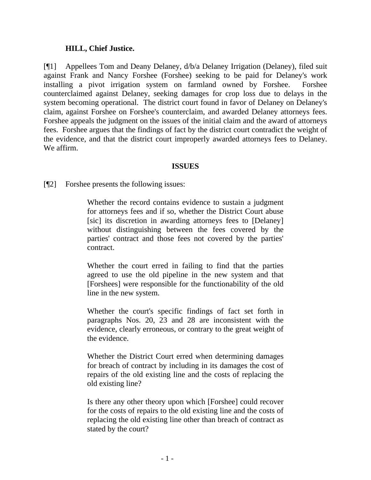#### **HILL, Chief Justice.**

[¶1] Appellees Tom and Deany Delaney, d/b/a Delaney Irrigation (Delaney), filed suit against Frank and Nancy Forshee (Forshee) seeking to be paid for Delaney's work installing a pivot irrigation system on farmland owned by Forshee. Forshee counterclaimed against Delaney, seeking damages for crop loss due to delays in the system becoming operational. The district court found in favor of Delaney on Delaney's claim, against Forshee on Forshee's counterclaim, and awarded Delaney attorneys fees. Forshee appeals the judgment on the issues of the initial claim and the award of attorneys fees. Forshee argues that the findings of fact by the district court contradict the weight of the evidence, and that the district court improperly awarded attorneys fees to Delaney. We affirm.

#### **ISSUES**

[¶2] Forshee presents the following issues:

Whether the record contains evidence to sustain a judgment for attorneys fees and if so, whether the District Court abuse [sic] its discretion in awarding attorneys fees to [Delaney] without distinguishing between the fees covered by the parties' contract and those fees not covered by the parties' contract.

Whether the court erred in failing to find that the parties agreed to use the old pipeline in the new system and that [Forshees] were responsible for the functionability of the old line in the new system.

Whether the court's specific findings of fact set forth in paragraphs Nos. 20, 23 and 28 are inconsistent with the evidence, clearly erroneous, or contrary to the great weight of the evidence.

Whether the District Court erred when determining damages for breach of contract by including in its damages the cost of repairs of the old existing line and the costs of replacing the old existing line?

Is there any other theory upon which [Forshee] could recover for the costs of repairs to the old existing line and the costs of replacing the old existing line other than breach of contract as stated by the court?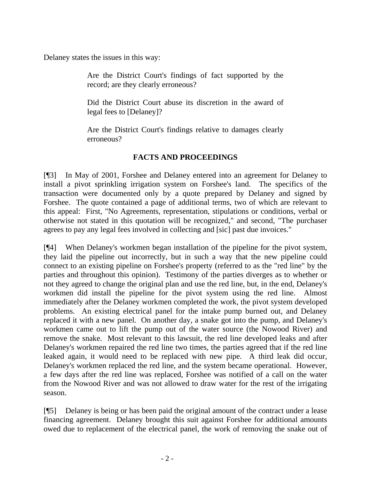Delaney states the issues in this way:

Are the District Court's findings of fact supported by the record; are they clearly erroneous?

Did the District Court abuse its discretion in the award of legal fees to [Delaney]?

Are the District Court's findings relative to damages clearly erroneous?

## **FACTS AND PROCEEDINGS**

[¶3] In May of 2001, Forshee and Delaney entered into an agreement for Delaney to install a pivot sprinkling irrigation system on Forshee's land. The specifics of the transaction were documented only by a quote prepared by Delaney and signed by Forshee. The quote contained a page of additional terms, two of which are relevant to this appeal: First, "No Agreements, representation, stipulations or conditions, verbal or otherwise not stated in this quotation will be recognized," and second, "The purchaser agrees to pay any legal fees involved in collecting and [sic] past due invoices."

[¶4] When Delaney's workmen began installation of the pipeline for the pivot system, they laid the pipeline out incorrectly, but in such a way that the new pipeline could connect to an existing pipeline on Forshee's property (referred to as the "red line" by the parties and throughout this opinion). Testimony of the parties diverges as to whether or not they agreed to change the original plan and use the red line, but, in the end, Delaney's workmen did install the pipeline for the pivot system using the red line. Almost immediately after the Delaney workmen completed the work, the pivot system developed problems. An existing electrical panel for the intake pump burned out, and Delaney replaced it with a new panel. On another day, a snake got into the pump, and Delaney's workmen came out to lift the pump out of the water source (the Nowood River) and remove the snake. Most relevant to this lawsuit, the red line developed leaks and after Delaney's workmen repaired the red line two times, the parties agreed that if the red line leaked again, it would need to be replaced with new pipe. A third leak did occur, Delaney's workmen replaced the red line, and the system became operational. However, a few days after the red line was replaced, Forshee was notified of a call on the water from the Nowood River and was not allowed to draw water for the rest of the irrigating season.

[¶5] Delaney is being or has been paid the original amount of the contract under a lease financing agreement. Delaney brought this suit against Forshee for additional amounts owed due to replacement of the electrical panel, the work of removing the snake out of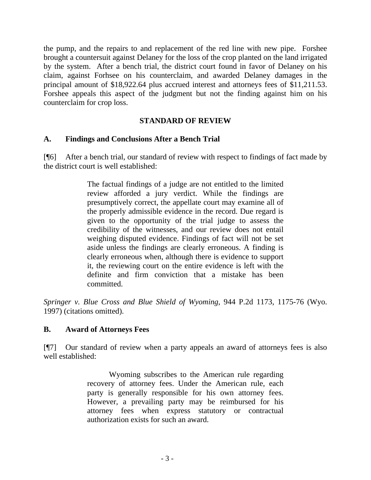the pump, and the repairs to and replacement of the red line with new pipe. Forshee brought a countersuit against Delaney for the loss of the crop planted on the land irrigated by the system. After a bench trial, the district court found in favor of Delaney on his claim, against Forhsee on his counterclaim, and awarded Delaney damages in the principal amount of \$18,922.64 plus accrued interest and attorneys fees of \$11,211.53. Forshee appeals this aspect of the judgment but not the finding against him on his counterclaim for crop loss.

### **STANDARD OF REVIEW**

### **A. Findings and Conclusions After a Bench Trial**

[¶6] After a bench trial, our standard of review with respect to findings of fact made by the district court is well established:

> The factual findings of a judge are not entitled to the limited review afforded a jury verdict. While the findings are presumptively correct, the appellate court may examine all of the properly admissible evidence in the record. Due regard is given to the opportunity of the trial judge to assess the credibility of the witnesses, and our review does not entail weighing disputed evidence. Findings of fact will not be set aside unless the findings are clearly erroneous. A finding is clearly erroneous when, although there is evidence to support it, the reviewing court on the entire evidence is left with the definite and firm conviction that a mistake has been committed.

*Springer v. Blue Cross and Blue Shield of Wyoming*, 944 P.2d 1173, 1175-76 (Wyo. 1997) (citations omitted).

## **B. Award of Attorneys Fees**

[¶7] Our standard of review when a party appeals an award of attorneys fees is also well established:

> Wyoming subscribes to the American rule regarding recovery of attorney fees. Under the American rule, each party is generally responsible for his own attorney fees. However, a prevailing party may be reimbursed for his attorney fees when express statutory or contractual authorization exists for such an award.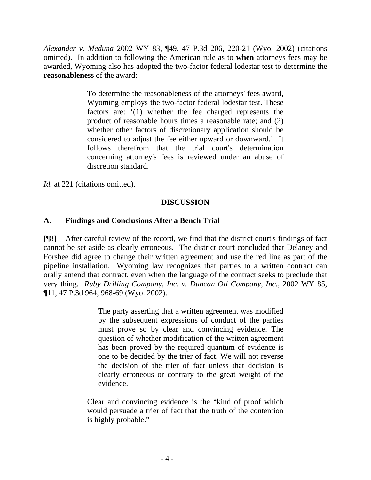*Alexander v. Meduna* 2002 WY 83, ¶49, 47 P.3d 206, 220-21 (Wyo. 2002) (citations omitted). In addition to following the American rule as to **when** attorneys fees may be awarded, Wyoming also has adopted the two-factor federal lodestar test to determine the **reasonableness** of the award:

> To determine the reasonableness of the attorneys' fees award, Wyoming employs the two-factor federal lodestar test. These factors are: '(1) whether the fee charged represents the product of reasonable hours times a reasonable rate; and (2) whether other factors of discretionary application should be considered to adjust the fee either upward or downward.' It follows therefrom that the trial court's determination concerning attorney's fees is reviewed under an abuse of discretion standard.

*Id.* at 221 (citations omitted).

# **DISCUSSION**

## **A. Findings and Conclusions After a Bench Trial**

[¶8] After careful review of the record, we find that the district court's findings of fact cannot be set aside as clearly erroneous. The district court concluded that Delaney and Forshee did agree to change their written agreement and use the red line as part of the pipeline installation. Wyoming law recognizes that parties to a written contract can orally amend that contract, even when the language of the contract seeks to preclude that very thing. *Ruby Drilling Company, Inc. v. Duncan Oil Company, Inc.*, 2002 WY 85, ¶11, 47 P.3d 964, 968-69 (Wyo. 2002).

> The party asserting that a written agreement was modified by the subsequent expressions of conduct of the parties must prove so by clear and convincing evidence. The question of whether modification of the written agreement has been proved by the required quantum of evidence is one to be decided by the trier of fact. We will not reverse the decision of the trier of fact unless that decision is clearly erroneous or contrary to the great weight of the evidence.

Clear and convincing evidence is the "kind of proof which would persuade a trier of fact that the truth of the contention is highly probable."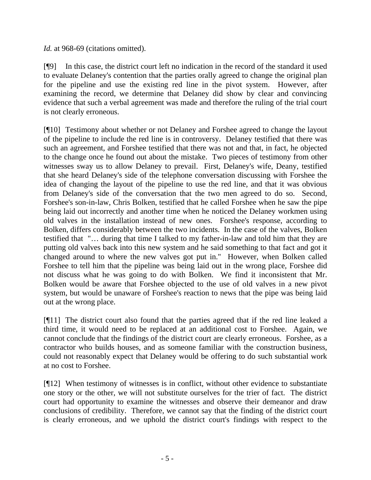*Id.* at 968-69 (citations omitted).

[¶9] In this case, the district court left no indication in the record of the standard it used to evaluate Delaney's contention that the parties orally agreed to change the original plan for the pipeline and use the existing red line in the pivot system. However, after examining the record, we determine that Delaney did show by clear and convincing evidence that such a verbal agreement was made and therefore the ruling of the trial court is not clearly erroneous.

[¶10] Testimony about whether or not Delaney and Forshee agreed to change the layout of the pipeline to include the red line is in controversy. Delaney testified that there was such an agreement, and Forshee testified that there was not and that, in fact, he objected to the change once he found out about the mistake. Two pieces of testimony from other witnesses sway us to allow Delaney to prevail. First, Delaney's wife, Deany, testified that she heard Delaney's side of the telephone conversation discussing with Forshee the idea of changing the layout of the pipeline to use the red line, and that it was obvious from Delaney's side of the conversation that the two men agreed to do so. Second, Forshee's son-in-law, Chris Bolken, testified that he called Forshee when he saw the pipe being laid out incorrectly and another time when he noticed the Delaney workmen using old valves in the installation instead of new ones. Forshee's response, according to Bolken, differs considerably between the two incidents. In the case of the valves, Bolken testified that "… during that time I talked to my father-in-law and told him that they are putting old valves back into this new system and he said something to that fact and got it changed around to where the new valves got put in." However, when Bolken called Forshee to tell him that the pipeline was being laid out in the wrong place, Forshee did not discuss what he was going to do with Bolken. We find it inconsistent that Mr. Bolken would be aware that Forshee objected to the use of old valves in a new pivot system, but would be unaware of Forshee's reaction to news that the pipe was being laid out at the wrong place.

[¶11] The district court also found that the parties agreed that if the red line leaked a third time, it would need to be replaced at an additional cost to Forshee. Again, we cannot conclude that the findings of the district court are clearly erroneous. Forshee, as a contractor who builds houses, and as someone familiar with the construction business, could not reasonably expect that Delaney would be offering to do such substantial work at no cost to Forshee.

[¶12] When testimony of witnesses is in conflict, without other evidence to substantiate one story or the other, we will not substitute ourselves for the trier of fact. The district court had opportunity to examine the witnesses and observe their demeanor and draw conclusions of credibility. Therefore, we cannot say that the finding of the district court is clearly erroneous, and we uphold the district court's findings with respect to the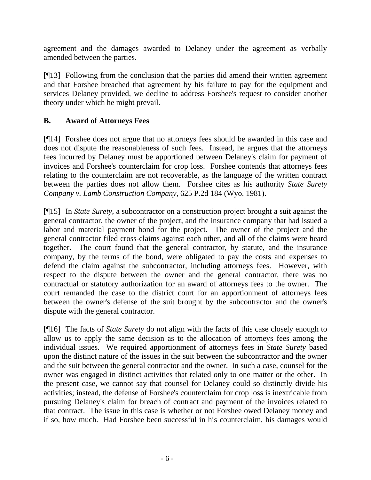agreement and the damages awarded to Delaney under the agreement as verbally amended between the parties.

[¶13] Following from the conclusion that the parties did amend their written agreement and that Forshee breached that agreement by his failure to pay for the equipment and services Delaney provided, we decline to address Forshee's request to consider another theory under which he might prevail.

# **B. Award of Attorneys Fees**

[¶14] Forshee does not argue that no attorneys fees should be awarded in this case and does not dispute the reasonableness of such fees. Instead, he argues that the attorneys fees incurred by Delaney must be apportioned between Delaney's claim for payment of invoices and Forshee's counterclaim for crop loss. Forshee contends that attorneys fees relating to the counterclaim are not recoverable, as the language of the written contract between the parties does not allow them. Forshee cites as his authority *State Surety Company v. Lamb Construction Company*, 625 P.2d 184 (Wyo. 1981).

[¶15] In *State Surety*, a subcontractor on a construction project brought a suit against the general contractor, the owner of the project, and the insurance company that had issued a labor and material payment bond for the project. The owner of the project and the general contractor filed cross-claims against each other, and all of the claims were heard together. The court found that the general contractor, by statute, and the insurance company, by the terms of the bond, were obligated to pay the costs and expenses to defend the claim against the subcontractor, including attorneys fees. However, with respect to the dispute between the owner and the general contractor, there was no contractual or statutory authorization for an award of attorneys fees to the owner. The court remanded the case to the district court for an apportionment of attorneys fees between the owner's defense of the suit brought by the subcontractor and the owner's dispute with the general contractor.

[¶16] The facts of *State Surety* do not align with the facts of this case closely enough to allow us to apply the same decision as to the allocation of attorneys fees among the individual issues. We required apportionment of attorneys fees in *State Surety* based upon the distinct nature of the issues in the suit between the subcontractor and the owner and the suit between the general contractor and the owner. In such a case, counsel for the owner was engaged in distinct activities that related only to one matter or the other. In the present case, we cannot say that counsel for Delaney could so distinctly divide his activities; instead, the defense of Forshee's counterclaim for crop loss is inextricable from pursuing Delaney's claim for breach of contract and payment of the invoices related to that contract. The issue in this case is whether or not Forshee owed Delaney money and if so, how much. Had Forshee been successful in his counterclaim, his damages would